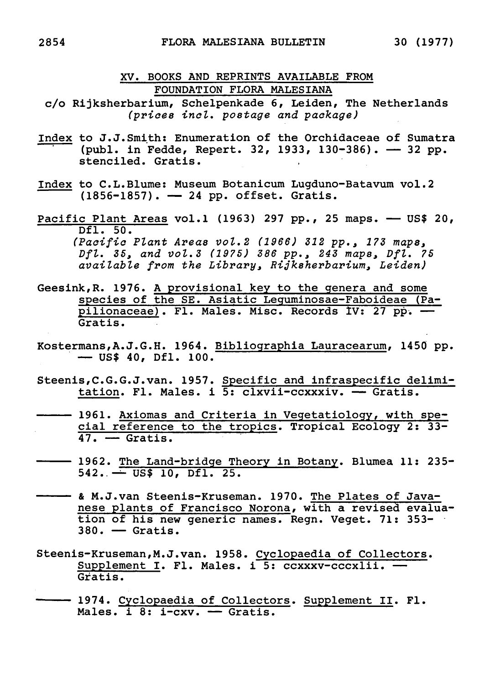## XV. Books and reprints available from Foundation Flora Malesiana

- c/o Rijksherbarium, Schelpenkade 6, Leiden, The Netherlands (prices incl. postage and package)
- Index to J.J. Smith: Enumeration of the Orchidaceae of Sumatra (publ. in Fedde, Repert. 32, 1933, 130-386). — 32 pp. stenciled. Gratis.
- Index to C.L. Blume: Museum Botanicum Lugduno-Batavum vol. <sup>2</sup> (1856-1857). — <sup>24</sup> pp. offset. Gratis.
- Pacific Plant Areas vol.1 (1963) 297 pp., 25 maps. US\$ 20, Dfl. 50. (Pacific Plant Areas vol.2 (1966) <sup>312</sup> pp. <sup>3</sup> 173 maps, Dfl. 35, and vol. <sup>3</sup> (1975) <sup>386</sup> pp., <sup>243</sup> maps, Dfl. <sup>75</sup> available from the Library, Rijksherbarium, Leiden)
- Geesink,R. 1976. <sup>A</sup> provisional key to the genera and some species of the SE. Asiatic Leguminosae-Faboideae (Paspecies of the SE. Asiatic Leguminosae-rabolueae (Fa<br>pilionaceae). Fl. Males. Misc. Records IV: 27 pp. -Gratis.
- Kostermans,A.J.G.H. 1964. Bibliographia Lauracearum, 1450 pp. — US\$ 40, Dfl. 100.
- Steenis,C.G.G.J.van. 1957. Specific and infraspecific delimis,C.G.G.J.van. 1957. <u>Specific and infraspecific de</u><br><u>tation</u>. Fl. Males. i 5: clxvii-ccxxxiv. — Gratis.
- 1961. Axiomas and Criteria in Vegetatiology, with spe-1961. Axiomas and Criteria in vegetatiology, with spe-<br>cial reference to the tropics. Tropical Ecology 2: 33-<u>cial leference</u><br>47. — Gratis.
- 1962. The Land-bridge Theory in Botany. Blumea 11: 235-1962. <u>The Land-Bridge Th</u><br>542. — US\$ 10, Dfl. 25.
- & M.J.van Steenis-Kruseman. 1970. The Plates of Javanese plants of Francisco Norona, with <sup>a</sup> revised evaluation of his new generic names. Regn. Veget. 71: 353- 380. — Gratis.
- Steenis-Kruseman,M.J.van. 1958. Cyclopaedia of Collectors. Supplement I. Fl. Males. i 5: ccxxxv-cccxlii. -Gratis.
- -- 1974. Cyclopaedia of Collectors. Supplement II. Fl. 1974. <u>Cyclopaedia of Collecto</u><br>Males. i 8: i-cxv. — Gratis.